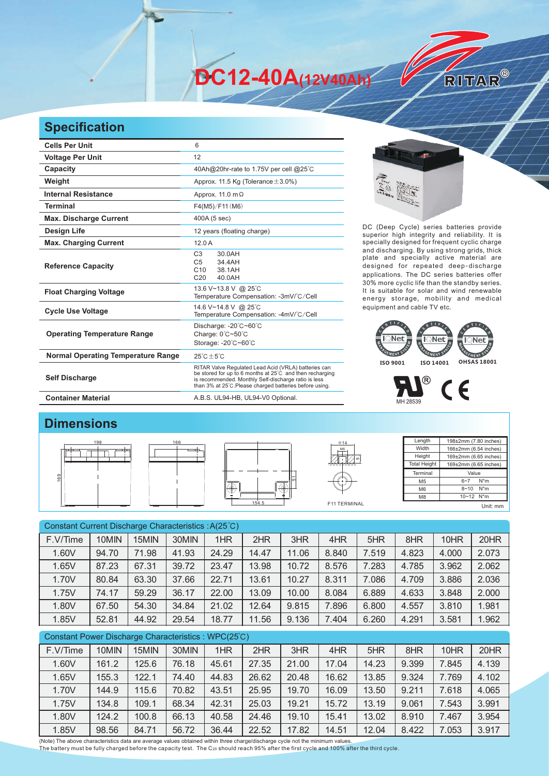**DC12-40A(12V40Ah)** 

## **Specification**

| <b>Cells Per Unit</b>                     | 6                                                                                                                                                                                                                                   |  |  |  |  |  |  |
|-------------------------------------------|-------------------------------------------------------------------------------------------------------------------------------------------------------------------------------------------------------------------------------------|--|--|--|--|--|--|
| <b>Voltage Per Unit</b>                   | 12                                                                                                                                                                                                                                  |  |  |  |  |  |  |
| Capacity                                  | 40Ah@20hr-rate to 1.75V per cell @25°C                                                                                                                                                                                              |  |  |  |  |  |  |
| Weight                                    | Approx. 11.5 Kg (Tolerance $\pm$ 3.0%)                                                                                                                                                                                              |  |  |  |  |  |  |
| <b>Internal Resistance</b>                | Approx. 11.0 m $\Omega$                                                                                                                                                                                                             |  |  |  |  |  |  |
| <b>Terminal</b>                           | F4(M5)/F11(M6)                                                                                                                                                                                                                      |  |  |  |  |  |  |
| <b>Max. Discharge Current</b>             | 400A (5 sec)                                                                                                                                                                                                                        |  |  |  |  |  |  |
| <b>Design Life</b>                        | 12 years (floating charge)                                                                                                                                                                                                          |  |  |  |  |  |  |
| <b>Max. Charging Current</b>              | 12.0A                                                                                                                                                                                                                               |  |  |  |  |  |  |
| <b>Reference Capacity</b>                 | C <sub>3</sub><br>30.0AH<br>C <sub>5</sub><br>34.4AH<br>C <sub>10</sub><br>38.1AH<br>C <sub>20</sub><br>40.0AH                                                                                                                      |  |  |  |  |  |  |
| <b>Float Charging Voltage</b>             | 13.6 V~13.8 V @ 25°C<br>Temperature Compensation: -3mV/°C/Cell                                                                                                                                                                      |  |  |  |  |  |  |
| <b>Cycle Use Voltage</b>                  | 14.6 V~14.8 V @ 25°C<br>Temperature Compensation: -4mV/°C/Cell                                                                                                                                                                      |  |  |  |  |  |  |
| <b>Operating Temperature Range</b>        | Discharge: -20°C~60°C<br>Charge: 0°C~50°C<br>Storage: -20°C~60°C                                                                                                                                                                    |  |  |  |  |  |  |
| <b>Normal Operating Temperature Range</b> | $25^{\circ}$ C + 5 $^{\circ}$ C                                                                                                                                                                                                     |  |  |  |  |  |  |
| <b>Self Discharge</b>                     | RITAR Valve Regulated Lead Acid (VRLA) batteries can<br>be stored for up to 6 months at 25°C and then recharging<br>is recommended. Monthly Self-discharge ratio is less<br>than 3% at 25°C. Please charged batteries before using. |  |  |  |  |  |  |
| <b>Container Material</b>                 | A.B.S. UL94-HB, UL94-V0 Optional.                                                                                                                                                                                                   |  |  |  |  |  |  |

RITAR®

DC (Deep Cycle) series batteries provide superior high integrity and reliability. It is specially designed for frequent cyclic charge and discharging. By using strong grids, thick plate and specially active material are designed for repeated deep-discharge applications. The DC series batteries offer 30% more cyclic life than the standby series. It is suitable for solar and wind renewable energy storage, mobility and medical equipment and cable TV etc.





## **Dimensions**









| Length              | 198±2mm (7.80 inches) |
|---------------------|-----------------------|
| Width               | 166±2mm (6.54 inches) |
| Height              | 169±2mm (6.65 inches) |
| <b>Total Height</b> | 169±2mm (6.65 inches) |
| Terminal            | Value                 |
| M <sub>5</sub>      | $N^*m$<br>$6 - 7$     |
| M <sub>6</sub>      | $N^*m$<br>$8 - 10$    |
| M <sub>8</sub>      | 10~12 N*m             |
|                     | Unit: mm              |

| Constant Current Discharge Characteristics: A(25°C) |       |       |       |       |       |       |       |       |       |       |       |
|-----------------------------------------------------|-------|-------|-------|-------|-------|-------|-------|-------|-------|-------|-------|
| F.V/Time                                            | 10MIN | 15MIN | 30MIN | 1HR   | 2HR   | 3HR   | 4HR   | 5HR   | 8HR   | 10HR  | 20HR  |
| 1.60V                                               | 94.70 | 71.98 | 41.93 | 24.29 | 14.47 | 11.06 | 8.840 | 7.519 | 4.823 | 4.000 | 2.073 |
| 1.65V                                               | 87.23 | 67.31 | 39.72 | 23.47 | 13.98 | 10.72 | 8.576 | 7.283 | 4.785 | 3.962 | 2.062 |
| 1.70V                                               | 80.84 | 63.30 | 37.66 | 22.71 | 13.61 | 10.27 | 8.311 | 7.086 | 4.709 | 3.886 | 2.036 |
| 1.75V                                               | 74.17 | 59.29 | 36.17 | 22.00 | 13.09 | 10.00 | 8.084 | 6.889 | 4.633 | 3.848 | 2.000 |
| 1.80V                                               | 67.50 | 54.30 | 34.84 | 21.02 | 12.64 | 9.815 | 7.896 | 6.800 | 4.557 | 3.810 | 1.981 |
| 1.85V                                               | 52.81 | 44.92 | 29.54 | 18.77 | 11.56 | 9.136 | 7.404 | 6.260 | 4.291 | 3.581 | 1.962 |
| Constant Power Discharge Characteristics: WPC(25°C) |       |       |       |       |       |       |       |       |       |       |       |

| F.V/Time | 10MIN | 15MIN | 30MIN | 1HR   | 2HR   | 3HR   | 4HR   | 5HR   | 8HR   | 10HR  | 20HR  |
|----------|-------|-------|-------|-------|-------|-------|-------|-------|-------|-------|-------|
| 1.60V    | 161.2 | 125.6 | 76.18 | 45.61 | 27.35 | 21.00 | 17.04 | 14.23 | 9.399 | 7.845 | 4.139 |
| 1.65V    | 155.3 | 122.1 | 74.40 | 44.83 | 26.62 | 20.48 | 16.62 | 13.85 | 9.324 | 7.769 | 4.102 |
| 1.70V    | 144.9 | 115.6 | 70.82 | 43.51 | 25.95 | 19.70 | 16.09 | 13.50 | 9.211 | 7.618 | 4.065 |
| 1.75V    | 134.8 | 109.1 | 68.34 | 42.31 | 25.03 | 19.21 | 15.72 | 13.19 | 9.061 | 7.543 | 3.991 |
| 1.80V    | 124.2 | 100.8 | 66.13 | 40.58 | 24.46 | 19.10 | 15.41 | 13.02 | 8.910 | 7.467 | 3.954 |
| 1.85V    | 98.56 | 84.71 | 56.72 | 36.44 | 22.52 | 17.82 | 14.51 | 12.04 | 8.422 | 7.053 | 3.917 |

(Note) The above characteristics data are average values obtained within three charge/discharge cycle not the minimum values.<br>The battery must be fully charged before the capacity test. The C20 should reach 95% after the